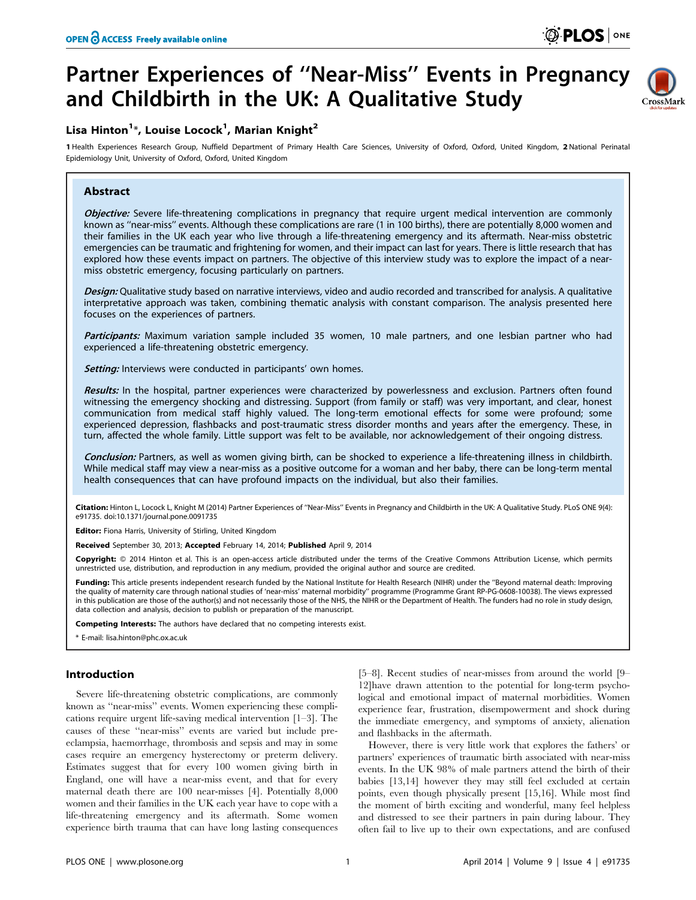CrossMark

# Partner Experiences of ''Near-Miss'' Events in Pregnancy and Childbirth in the UK: A Qualitative Study

# Lisa Hinton $^{1\ast}$ , Louise Locock $^{1}$ , Marian Knight $^{2}$

1 Health Experiences Research Group, Nuffield Department of Primary Health Care Sciences, University of Oxford, Oxford, United Kingdom, 2 National Perinatal Epidemiology Unit, University of Oxford, Oxford, United Kingdom

# Abstract

Objective: Severe life-threatening complications in pregnancy that require urgent medical intervention are commonly known as ''near-miss'' events. Although these complications are rare (1 in 100 births), there are potentially 8,000 women and their families in the UK each year who live through a life-threatening emergency and its aftermath. Near-miss obstetric emergencies can be traumatic and frightening for women, and their impact can last for years. There is little research that has explored how these events impact on partners. The objective of this interview study was to explore the impact of a nearmiss obstetric emergency, focusing particularly on partners.

Design: Qualitative study based on narrative interviews, video and audio recorded and transcribed for analysis. A qualitative interpretative approach was taken, combining thematic analysis with constant comparison. The analysis presented here focuses on the experiences of partners.

Participants: Maximum variation sample included 35 women, 10 male partners, and one lesbian partner who had experienced a life-threatening obstetric emergency.

Setting: Interviews were conducted in participants' own homes.

Results: In the hospital, partner experiences were characterized by powerlessness and exclusion. Partners often found witnessing the emergency shocking and distressing. Support (from family or staff) was very important, and clear, honest communication from medical staff highly valued. The long-term emotional effects for some were profound; some experienced depression, flashbacks and post-traumatic stress disorder months and years after the emergency. These, in turn, affected the whole family. Little support was felt to be available, nor acknowledgement of their ongoing distress.

Conclusion: Partners, as well as women giving birth, can be shocked to experience a life-threatening illness in childbirth. While medical staff may view a near-miss as a positive outcome for a woman and her baby, there can be long-term mental health consequences that can have profound impacts on the individual, but also their families.

Citation: Hinton L, Locock L, Knight M (2014) Partner Experiences of "Near-Miss" Events in Pregnancy and Childbirth in the UK: A Qualitative Study. PLoS ONE 9(4): e91735. doi:10.1371/journal.pone.0091735

Editor: Fiona Harris, University of Stirling, United Kingdom

Received September 30, 2013; Accepted February 14, 2014; Published April 9, 2014

Copyright: @ 2014 Hinton et al. This is an open-access article distributed under the terms of the [Creative Commons Attribution License](http://creativecommons.org/licenses/by/4.0/), which permits unrestricted use, distribution, and reproduction in any medium, provided the original author and source are credited.

Funding: This article presents independent research funded by the National Institute for Health Research (NIHR) under the "Beyond maternal death: Improving the quality of maternity care through national studies of 'near-miss' maternal morbidity'' programme (Programme Grant RP-PG-0608-10038). The views expressed in this publication are those of the author(s) and not necessarily those of the NHS, the NIHR or the Department of Health. The funders had no role in study design, data collection and analysis, decision to publish or preparation of the manuscript.

Competing Interests: The authors have declared that no competing interests exist.

\* E-mail: lisa.hinton@phc.ox.ac.uk

# Introduction

Severe life-threatening obstetric complications, are commonly known as ''near-miss'' events. Women experiencing these complications require urgent life-saving medical intervention [1–3]. The causes of these ''near-miss'' events are varied but include preeclampsia, haemorrhage, thrombosis and sepsis and may in some cases require an emergency hysterectomy or preterm delivery. Estimates suggest that for every 100 women giving birth in England, one will have a near-miss event, and that for every maternal death there are 100 near-misses [4]. Potentially 8,000 women and their families in the UK each year have to cope with a life-threatening emergency and its aftermath. Some women experience birth trauma that can have long lasting consequences

[5–8]. Recent studies of near-misses from around the world [9– 12]have drawn attention to the potential for long-term psychological and emotional impact of maternal morbidities. Women experience fear, frustration, disempowerment and shock during the immediate emergency, and symptoms of anxiety, alienation and flashbacks in the aftermath.

However, there is very little work that explores the fathers' or partners' experiences of traumatic birth associated with near-miss events. In the UK 98% of male partners attend the birth of their babies [13,14] however they may still feel excluded at certain points, even though physically present [15,16]. While most find the moment of birth exciting and wonderful, many feel helpless and distressed to see their partners in pain during labour. They often fail to live up to their own expectations, and are confused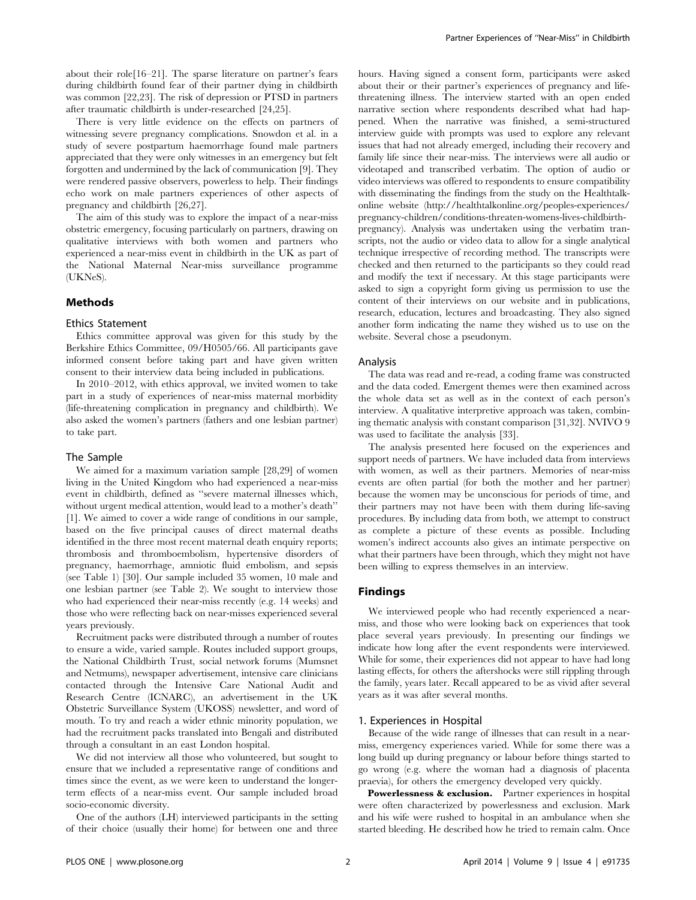about their role[16–21]. The sparse literature on partner's fears during childbirth found fear of their partner dying in childbirth was common [22,23]. The risk of depression or PTSD in partners after traumatic childbirth is under-researched [24,25].

There is very little evidence on the effects on partners of witnessing severe pregnancy complications. Snowdon et al. in a study of severe postpartum haemorrhage found male partners appreciated that they were only witnesses in an emergency but felt forgotten and undermined by the lack of communication [9]. They were rendered passive observers, powerless to help. Their findings echo work on male partners experiences of other aspects of pregnancy and childbirth [26,27].

The aim of this study was to explore the impact of a near-miss obstetric emergency, focusing particularly on partners, drawing on qualitative interviews with both women and partners who experienced a near-miss event in childbirth in the UK as part of the National Maternal Near-miss surveillance programme (UKNeS).

### Methods

#### Ethics Statement

Ethics committee approval was given for this study by the Berkshire Ethics Committee, 09/H0505/66. All participants gave informed consent before taking part and have given written consent to their interview data being included in publications.

In 2010–2012, with ethics approval, we invited women to take part in a study of experiences of near-miss maternal morbidity (life-threatening complication in pregnancy and childbirth). We also asked the women's partners (fathers and one lesbian partner) to take part.

#### The Sample

We aimed for a maximum variation sample [28,29] of women living in the United Kingdom who had experienced a near-miss event in childbirth, defined as ''severe maternal illnesses which, without urgent medical attention, would lead to a mother's death'' [1]. We aimed to cover a wide range of conditions in our sample, based on the five principal causes of direct maternal deaths identified in the three most recent maternal death enquiry reports; thrombosis and thromboembolism, hypertensive disorders of pregnancy, haemorrhage, amniotic fluid embolism, and sepsis (see Table 1) [30]. Our sample included 35 women, 10 male and one lesbian partner (see Table 2). We sought to interview those who had experienced their near-miss recently (e.g. 14 weeks) and those who were reflecting back on near-misses experienced several years previously.

Recruitment packs were distributed through a number of routes to ensure a wide, varied sample. Routes included support groups, the National Childbirth Trust, social network forums (Mumsnet and Netmums), newspaper advertisement, intensive care clinicians contacted through the Intensive Care National Audit and Research Centre (ICNARC), an advertisement in the UK Obstetric Surveillance System (UKOSS) newsletter, and word of mouth. To try and reach a wider ethnic minority population, we had the recruitment packs translated into Bengali and distributed through a consultant in an east London hospital.

We did not interview all those who volunteered, but sought to ensure that we included a representative range of conditions and times since the event, as we were keen to understand the longerterm effects of a near-miss event. Our sample included broad socio-economic diversity.

One of the authors (LH) interviewed participants in the setting of their choice (usually their home) for between one and three

hours. Having signed a consent form, participants were asked about their or their partner's experiences of pregnancy and lifethreatening illness. The interview started with an open ended narrative section where respondents described what had happened. When the narrative was finished, a semi-structured interview guide with prompts was used to explore any relevant issues that had not already emerged, including their recovery and family life since their near-miss. The interviews were all audio or videotaped and transcribed verbatim. The option of audio or video interviews was offered to respondents to ensure compatibility with disseminating the findings from the study on the Healthtalkonline website [\(http://healthtalkonline.org/peoples-experiences/](http://healthtalkonline.org/peoples-experiences/pregnancy-children/conditions-threaten-womens-lives-childbirth-pregnancy) [pregnancy-children/conditions-threaten-womens-lives-childbirth](http://healthtalkonline.org/peoples-experiences/pregnancy-children/conditions-threaten-womens-lives-childbirth-pregnancy)[pregnancy\)](http://healthtalkonline.org/peoples-experiences/pregnancy-children/conditions-threaten-womens-lives-childbirth-pregnancy). Analysis was undertaken using the verbatim transcripts, not the audio or video data to allow for a single analytical technique irrespective of recording method. The transcripts were checked and then returned to the participants so they could read and modify the text if necessary. At this stage participants were asked to sign a copyright form giving us permission to use the content of their interviews on our website and in publications, research, education, lectures and broadcasting. They also signed another form indicating the name they wished us to use on the website. Several chose a pseudonym.

#### Analysis

The data was read and re-read, a coding frame was constructed and the data coded. Emergent themes were then examined across the whole data set as well as in the context of each person's interview. A qualitative interpretive approach was taken, combining thematic analysis with constant comparison [31,32]. NVIVO 9 was used to facilitate the analysis [33].

The analysis presented here focused on the experiences and support needs of partners. We have included data from interviews with women, as well as their partners. Memories of near-miss events are often partial (for both the mother and her partner) because the women may be unconscious for periods of time, and their partners may not have been with them during life-saving procedures. By including data from both, we attempt to construct as complete a picture of these events as possible. Including women's indirect accounts also gives an intimate perspective on what their partners have been through, which they might not have been willing to express themselves in an interview.

# Findings

We interviewed people who had recently experienced a nearmiss, and those who were looking back on experiences that took place several years previously. In presenting our findings we indicate how long after the event respondents were interviewed. While for some, their experiences did not appear to have had long lasting effects, for others the aftershocks were still rippling through the family, years later. Recall appeared to be as vivid after several years as it was after several months.

# 1. Experiences in Hospital

Because of the wide range of illnesses that can result in a nearmiss, emergency experiences varied. While for some there was a long build up during pregnancy or labour before things started to go wrong (e.g. where the woman had a diagnosis of placenta praevia), for others the emergency developed very quickly.

Powerlessness & exclusion. Partner experiences in hospital were often characterized by powerlessness and exclusion. Mark and his wife were rushed to hospital in an ambulance when she started bleeding. He described how he tried to remain calm. Once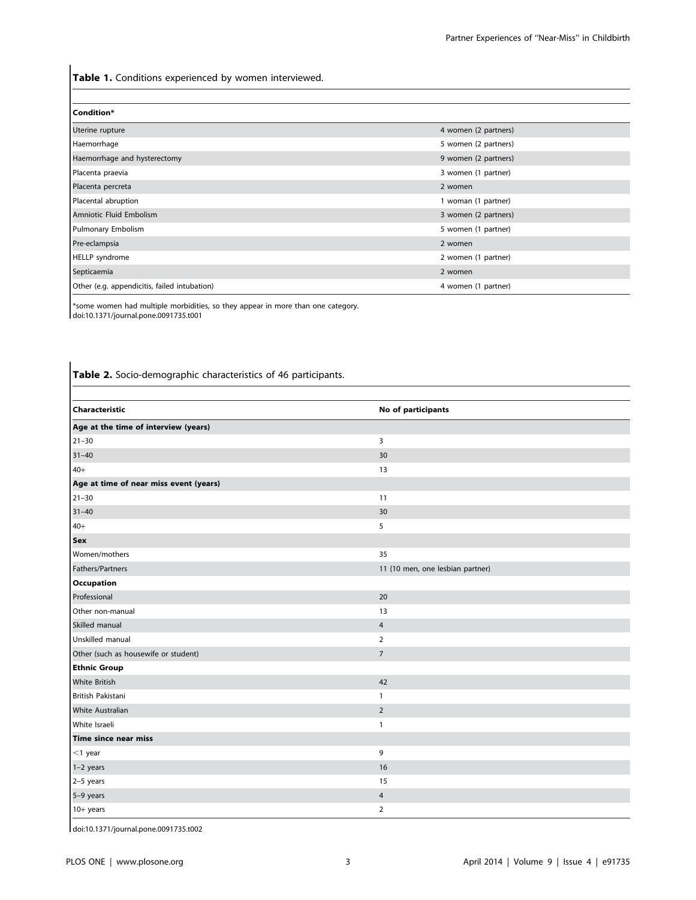Table 1. Conditions experienced by women interviewed.

| <b>Condition*</b>                            |                      |
|----------------------------------------------|----------------------|
| Uterine rupture                              | 4 women (2 partners) |
| Haemorrhage                                  | 5 women (2 partners) |
| Haemorrhage and hysterectomy                 | 9 women (2 partners) |
| Placenta praevia                             | 3 women (1 partner)  |
| Placenta percreta                            | 2 women              |
| Placental abruption                          | 1 woman (1 partner)  |
| Amniotic Fluid Embolism                      | 3 women (2 partners) |
| Pulmonary Embolism                           | 5 women (1 partner)  |
| Pre-eclampsia                                | 2 women              |
| <b>HELLP</b> syndrome                        | 2 women (1 partner)  |
| Septicaemia                                  | 2 women              |
| Other (e.g. appendicitis, failed intubation) | 4 women (1 partner)  |

\*some women had multiple morbidities, so they appear in more than one category. doi:10.1371/journal.pone.0091735.t001

Table 2. Socio-demographic characteristics of 46 participants.

| <b>Characteristic</b>                  | No of participants               |
|----------------------------------------|----------------------------------|
| Age at the time of interview (years)   |                                  |
| $21 - 30$                              | 3                                |
| $31 - 40$                              | 30                               |
| $40+$                                  | 13                               |
| Age at time of near miss event (years) |                                  |
| $21 - 30$                              | 11                               |
| $31 - 40$                              | 30                               |
| $40+$                                  | 5                                |
| <b>Sex</b>                             |                                  |
| Women/mothers                          | 35                               |
| Fathers/Partners                       | 11 (10 men, one lesbian partner) |
| <b>Occupation</b>                      |                                  |
| Professional                           | 20                               |
| Other non-manual                       | 13                               |
| Skilled manual                         | 4                                |
| Unskilled manual                       | $\overline{2}$                   |
| Other (such as housewife or student)   | $\overline{7}$                   |
| <b>Ethnic Group</b>                    |                                  |
| <b>White British</b>                   | 42                               |
| British Pakistani                      | $\mathbf{1}$                     |
| <b>White Australian</b>                | $\overline{2}$                   |
| White Israeli                          | 1                                |
| Time since near miss                   |                                  |
| $<$ 1 year                             | 9                                |
| $1-2$ years                            | 16                               |
| $2-5$ years                            | 15                               |
| 5-9 years                              | $\overline{4}$                   |
| $10+$ years                            | $\mathbf 2$                      |

doi:10.1371/journal.pone.0091735.t002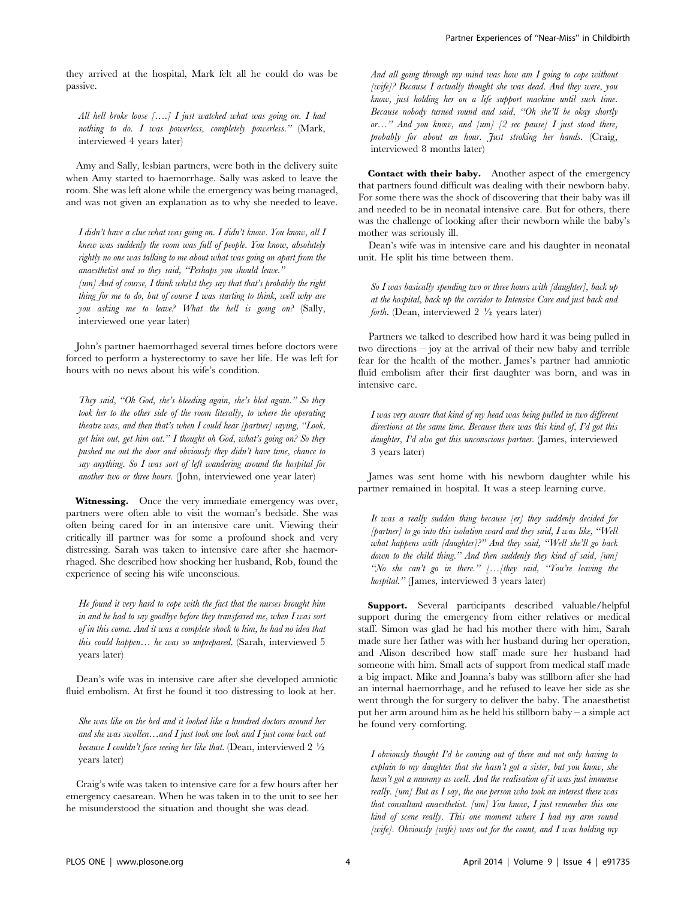they arrived at the hospital, Mark felt all he could do was be passive.

All hell broke loose  $[...]$  I just watched what was going on. I had nothing to do. I was powerless, completely powerless.'' (Mark, interviewed 4 years later)

Amy and Sally, lesbian partners, were both in the delivery suite when Amy started to haemorrhage. Sally was asked to leave the room. She was left alone while the emergency was being managed, and was not given an explanation as to why she needed to leave.

I didn't have a clue what was going on. I didn't know. You know, all I knew was suddenly the room was full of people. You know, absolutely rightly no one was talking to me about what was going on apart from the anaesthetist and so they said, ''Perhaps you should leave.'' [um] And of course, I think whilst they say that that's probably the right thing for me to do, but of course  $I$  was starting to think, well why are you asking me to leave? What the hell is going on? (Sally, interviewed one year later)

John's partner haemorrhaged several times before doctors were forced to perform a hysterectomy to save her life. He was left for hours with no news about his wife's condition.

They said, "Oh God, she's bleeding again, she's bled again." So they took her to the other side of the room literally, to where the operating theatre was, and then that's when  $I$  could hear [partner] saying, "Look, get him out, get him out.'' I thought oh God, what's going on? So they pushed me out the door and obviously they didn't have time, chance to say anything. So I was sort of left wandering around the hospital for another two or three hours. (John, interviewed one year later)

Witnessing. Once the very immediate emergency was over, partners were often able to visit the woman's bedside. She was often being cared for in an intensive care unit. Viewing their critically ill partner was for some a profound shock and very distressing. Sarah was taken to intensive care after she haemorrhaged. She described how shocking her husband, Rob, found the experience of seeing his wife unconscious.

He found it very hard to cope with the fact that the nurses brought him in and he had to say goodbye before they transferred me, when I was sort of in this coma. And it was a complete shock to him, he had no idea that this could happen… he was so unprepared. (Sarah, interviewed 5 years later)

Dean's wife was in intensive care after she developed amniotic fluid embolism. At first he found it too distressing to look at her.

She was like on the bed and it looked like a hundred doctors around her and she was swollen...and  $I$  just took one look and  $I$  just come back out because I couldn't face seeing her like that. (Dean, interviewed  $2\frac{1}{2}$ years later)

Craig's wife was taken to intensive care for a few hours after her emergency caesarean. When he was taken in to the unit to see her he misunderstood the situation and thought she was dead.

And all going through my mind was how am I going to cope without [wife]? Because I actually thought she was dead. And they were, you know, just holding her on a life support machine until such time. Because nobody turned round and said, ''Oh she'll be okay shortly or..." And you know, and  $[um]$   $[2 \text{ sec }$  pause]  $I$  just stood there, probably for about an hour. Just stroking her hands. (Craig, interviewed 8 months later)

Contact with their baby. Another aspect of the emergency that partners found difficult was dealing with their newborn baby. For some there was the shock of discovering that their baby was ill and needed to be in neonatal intensive care. But for others, there was the challenge of looking after their newborn while the baby's mother was seriously ill.

Dean's wife was in intensive care and his daughter in neonatal unit. He split his time between them.

So I was basically spending two or three hours with  $\lceil$  daughter $\rceil$ , back up at the hospital, back up the corridor to Intensive Care and just back and *forth.* (Dean, interviewed  $2 \frac{1}{2}$  years later)

Partners we talked to described how hard it was being pulled in two directions – joy at the arrival of their new baby and terrible fear for the health of the mother. James's partner had amniotic fluid embolism after their first daughter was born, and was in intensive care.

I was very aware that kind of my head was being pulled in two different directions at the same time. Because there was this kind of, I'd got this daughter, I'd also got this unconscious partner. (James, interviewed 3 years later)

James was sent home with his newborn daughter while his partner remained in hospital. It was a steep learning curve.

It was a really sudden thing because [er] they suddenly decided for [partner] to go into this isolation ward and they said, I was like, "Well what happens with [daughter]." And they said, "Well she'll go back down to the child thing." And then suddenly they kind of said,  $\lceil \mu m \rceil$ ''No she can't go in there.'' […[they said, ''You're leaving the hospital.'' (James, interviewed 3 years later)

Support. Several participants described valuable/helpful support during the emergency from either relatives or medical staff. Simon was glad he had his mother there with him, Sarah made sure her father was with her husband during her operation, and Alison described how staff made sure her husband had someone with him. Small acts of support from medical staff made a big impact. Mike and Joanna's baby was stillborn after she had an internal haemorrhage, and he refused to leave her side as she went through the for surgery to deliver the baby. The anaesthetist put her arm around him as he held his stillborn baby – a simple act he found very comforting.

I obviously thought I'd be coming out of there and not only having to explain to my daughter that she hasn't got a sister, but you know, she hasn't got a mummy as well. And the realisation of it was just immense really.  $\lceil \mu m \rceil$  But as I say, the one person who took an interest there was that consultant anaesthetist.  $\lceil \mu m \rceil$  You know, I just remember this one kind of scene really. This one moment where I had my arm round [wife]. Obviously [wife] was out for the count, and I was holding my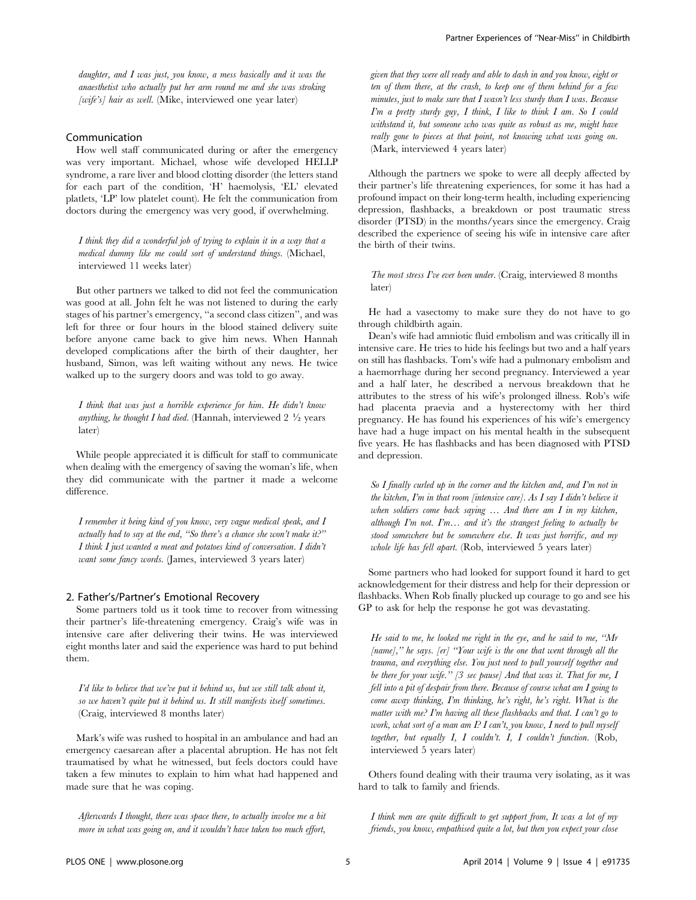daughter, and I was just, you know, a mess basically and it was the anaesthetist who actually put her arm round me and she was stroking [wife's] hair as well. (Mike, interviewed one year later)

#### Communication

How well staff communicated during or after the emergency was very important. Michael, whose wife developed HELLP syndrome, a rare liver and blood clotting disorder (the letters stand for each part of the condition, 'H' haemolysis, 'EL' elevated platlets, 'LP' low platelet count). He felt the communication from doctors during the emergency was very good, if overwhelming.

I think they did a wonderful job of trying to explain it in a way that a medical dummy like me could sort of understand things. (Michael, interviewed 11 weeks later)

But other partners we talked to did not feel the communication was good at all. John felt he was not listened to during the early stages of his partner's emergency, ''a second class citizen'', and was left for three or four hours in the blood stained delivery suite before anyone came back to give him news. When Hannah developed complications after the birth of their daughter, her husband, Simon, was left waiting without any news. He twice walked up to the surgery doors and was told to go away.

I think that was just a horrible experience for him. He didn't know anything, he thought I had died. (Hannah, interviewed  $2\frac{1}{2}$  years later)

While people appreciated it is difficult for staff to communicate when dealing with the emergency of saving the woman's life, when they did communicate with the partner it made a welcome difference.

I remember it being kind of you know, very vague medical speak, and I actually had to say at the end, ''So there's a chance she won't make it?'' I think I just wanted a meat and potatoes kind of conversation. I didn't want some fancy words. (James, interviewed 3 years later)

#### 2. Father's/Partner's Emotional Recovery

Some partners told us it took time to recover from witnessing their partner's life-threatening emergency. Craig's wife was in intensive care after delivering their twins. He was interviewed eight months later and said the experience was hard to put behind them.

I'd like to believe that we've put it behind us, but we still talk about it, so we haven't quite put it behind us. It still manifests itself sometimes. (Craig, interviewed 8 months later)

Mark's wife was rushed to hospital in an ambulance and had an emergency caesarean after a placental abruption. He has not felt traumatised by what he witnessed, but feels doctors could have taken a few minutes to explain to him what had happened and made sure that he was coping.

Afterwards I thought, there was space there, to actually involve me a bit more in what was going on, and it wouldn't have taken too much effort,

given that they were all ready and able to dash in and you know, eight or ten of them there, at the crash, to keep one of them behind for a few minutes, just to make sure that  $I$  wasn't less sturdy than  $I$  was. Because I'm a pretty sturdy guy, I think, I like to think I am. So I could withstand it, but someone who was quite as robust as me, might have really gone to pieces at that point, not knowing what was going on. (Mark, interviewed 4 years later)

Although the partners we spoke to were all deeply affected by their partner's life threatening experiences, for some it has had a profound impact on their long-term health, including experiencing depression, flashbacks, a breakdown or post traumatic stress disorder (PTSD) in the months/years since the emergency. Craig described the experience of seeing his wife in intensive care after the birth of their twins.

The most stress Pve ever been under. (Craig, interviewed 8 months later)

He had a vasectomy to make sure they do not have to go through childbirth again.

Dean's wife had amniotic fluid embolism and was critically ill in intensive care. He tries to hide his feelings but two and a half years on still has flashbacks. Tom's wife had a pulmonary embolism and a haemorrhage during her second pregnancy. Interviewed a year and a half later, he described a nervous breakdown that he attributes to the stress of his wife's prolonged illness. Rob's wife had placenta praevia and a hysterectomy with her third pregnancy. He has found his experiences of his wife's emergency have had a huge impact on his mental health in the subsequent five years. He has flashbacks and has been diagnosed with PTSD and depression.

So I finally curled up in the corner and the kitchen and, and I'm not in the kitchen,  $Pm$  in that room [intensive care]. As  $I$  say  $I$  didn't believe it when soldiers come back saying  $\ldots$  And there am I in my kitchen, although  $Pm$  not.  $Pm...$  and it's the strangest feeling to actually be stood somewhere but be somewhere else. It was just horrific, and my whole life has fell apart. (Rob, interviewed 5 years later)

Some partners who had looked for support found it hard to get acknowledgement for their distress and help for their depression or flashbacks. When Rob finally plucked up courage to go and see his GP to ask for help the response he got was devastating.

He said to me, he looked me right in the eye, and he said to me, ''Mr [name]," he says. [er] "Your wife is the one that went through all the trauma, and everything else. You just need to pull yourself together and be there for your wife."  $\beta$  sec pause] And that was it. That for me, I fell into a pit of despair from there. Because of course what am I going to come away thinking, I'm thinking, he's right, he's right. What is the matter with me? I'm having all these flashbacks and that. I can't go to work, what sort of a man am I? I can't, you know, I need to pull myself together, but equally  $I, I$  couldn't.  $I, I$  couldn't function. (Rob, interviewed 5 years later)

Others found dealing with their trauma very isolating, as it was hard to talk to family and friends.

I think men are quite difficult to get support from, It was a lot of my friends, you know, empathised quite a lot, but then you expect your close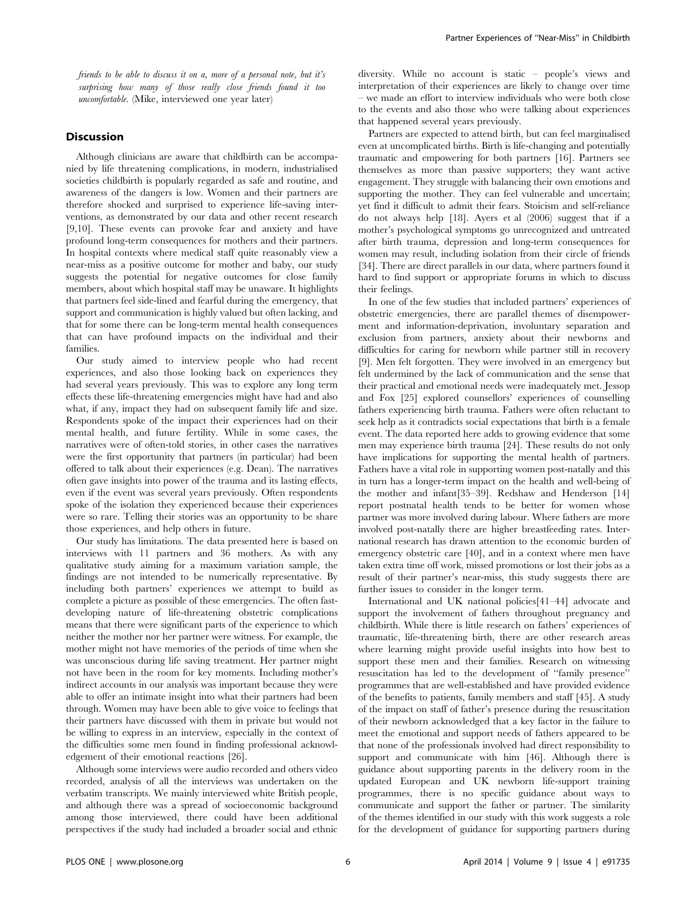friends to be able to discuss it on a, more of a personal note, but it's surprising how many of those really close friends found it too uncomfortable. (Mike, interviewed one year later)

# Discussion

Although clinicians are aware that childbirth can be accompanied by life threatening complications, in modern, industrialised societies childbirth is popularly regarded as safe and routine, and awareness of the dangers is low. Women and their partners are therefore shocked and surprised to experience life-saving interventions, as demonstrated by our data and other recent research [9,10]. These events can provoke fear and anxiety and have profound long-term consequences for mothers and their partners. In hospital contexts where medical staff quite reasonably view a near-miss as a positive outcome for mother and baby, our study suggests the potential for negative outcomes for close family members, about which hospital staff may be unaware. It highlights that partners feel side-lined and fearful during the emergency, that support and communication is highly valued but often lacking, and that for some there can be long-term mental health consequences that can have profound impacts on the individual and their families.

Our study aimed to interview people who had recent experiences, and also those looking back on experiences they had several years previously. This was to explore any long term effects these life-threatening emergencies might have had and also what, if any, impact they had on subsequent family life and size. Respondents spoke of the impact their experiences had on their mental health, and future fertility. While in some cases, the narratives were of often-told stories, in other cases the narratives were the first opportunity that partners (in particular) had been offered to talk about their experiences (e.g. Dean). The narratives often gave insights into power of the trauma and its lasting effects, even if the event was several years previously. Often respondents spoke of the isolation they experienced because their experiences were so rare. Telling their stories was an opportunity to be share those experiences, and help others in future.

Our study has limitations. The data presented here is based on interviews with 11 partners and 36 mothers. As with any qualitative study aiming for a maximum variation sample, the findings are not intended to be numerically representative. By including both partners' experiences we attempt to build as complete a picture as possible of these emergencies. The often fastdeveloping nature of life-threatening obstetric complications means that there were significant parts of the experience to which neither the mother nor her partner were witness. For example, the mother might not have memories of the periods of time when she was unconscious during life saving treatment. Her partner might not have been in the room for key moments. Including mother's indirect accounts in our analysis was important because they were able to offer an intimate insight into what their partners had been through. Women may have been able to give voice to feelings that their partners have discussed with them in private but would not be willing to express in an interview, especially in the context of the difficulties some men found in finding professional acknowledgement of their emotional reactions [26].

Although some interviews were audio recorded and others video recorded, analysis of all the interviews was undertaken on the verbatim transcripts. We mainly interviewed white British people, and although there was a spread of socioeconomic background among those interviewed, there could have been additional perspectives if the study had included a broader social and ethnic diversity. While no account is static – people's views and interpretation of their experiences are likely to change over time – we made an effort to interview individuals who were both close to the events and also those who were talking about experiences that happened several years previously.

Partners are expected to attend birth, but can feel marginalised even at uncomplicated births. Birth is life-changing and potentially traumatic and empowering for both partners [16]. Partners see themselves as more than passive supporters; they want active engagement. They struggle with balancing their own emotions and supporting the mother. They can feel vulnerable and uncertain; yet find it difficult to admit their fears. Stoicism and self-reliance do not always help [18]. Ayers et al (2006) suggest that if a mother's psychological symptoms go unrecognized and untreated after birth trauma, depression and long-term consequences for women may result, including isolation from their circle of friends [34]. There are direct parallels in our data, where partners found it hard to find support or appropriate forums in which to discuss their feelings.

In one of the few studies that included partners' experiences of obstetric emergencies, there are parallel themes of disempowerment and information-deprivation, involuntary separation and exclusion from partners, anxiety about their newborns and difficulties for caring for newborn while partner still in recovery [9]. Men felt forgotten. They were involved in an emergency but felt undermined by the lack of communication and the sense that their practical and emotional needs were inadequately met. Jessop and Fox [25] explored counsellors' experiences of counselling fathers experiencing birth trauma. Fathers were often reluctant to seek help as it contradicts social expectations that birth is a female event. The data reported here adds to growing evidence that some men may experience birth trauma [24]. These results do not only have implications for supporting the mental health of partners. Fathers have a vital role in supporting women post-natally and this in turn has a longer-term impact on the health and well-being of the mother and infant[35–39]. Redshaw and Henderson [14] report postnatal health tends to be better for women whose partner was more involved during labour. Where fathers are more involved post-natally there are higher breastfeeding rates. International research has drawn attention to the economic burden of emergency obstetric care [40], and in a context where men have taken extra time off work, missed promotions or lost their jobs as a result of their partner's near-miss, this study suggests there are further issues to consider in the longer term.

International and UK national policies[41–44] advocate and support the involvement of fathers throughout pregnancy and childbirth. While there is little research on fathers' experiences of traumatic, life-threatening birth, there are other research areas where learning might provide useful insights into how best to support these men and their families. Research on witnessing resuscitation has led to the development of ''family presence'' programmes that are well-established and have provided evidence of the benefits to patients, family members and staff [45]. A study of the impact on staff of father's presence during the resuscitation of their newborn acknowledged that a key factor in the failure to meet the emotional and support needs of fathers appeared to be that none of the professionals involved had direct responsibility to support and communicate with him [46]. Although there is guidance about supporting parents in the delivery room in the updated European and UK newborn life-support training programmes, there is no specific guidance about ways to communicate and support the father or partner. The similarity of the themes identified in our study with this work suggests a role for the development of guidance for supporting partners during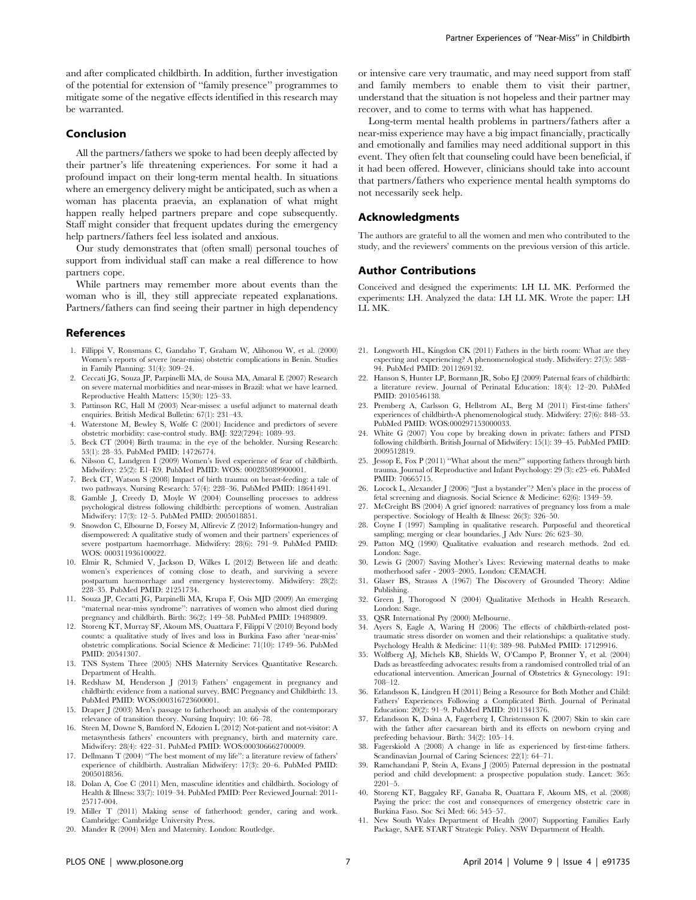and after complicated childbirth. In addition, further investigation of the potential for extension of ''family presence'' programmes to mitigate some of the negative effects identified in this research may be warranted.

# Conclusion

All the partners/fathers we spoke to had been deeply affected by their partner's life threatening experiences. For some it had a profound impact on their long-term mental health. In situations where an emergency delivery might be anticipated, such as when a woman has placenta praevia, an explanation of what might happen really helped partners prepare and cope subsequently. Staff might consider that frequent updates during the emergency help partners/fathers feel less isolated and anxious.

Our study demonstrates that (often small) personal touches of support from individual staff can make a real difference to how partners cope.

While partners may remember more about events than the woman who is ill, they still appreciate repeated explanations. Partners/fathers can find seeing their partner in high dependency

#### References

- 1. Fillippi V, Ronsmans C, Gandaho T, Graham W, Alihonou W, et al. (2000) Women's reports of severe (near-miss) obstetric complications in Benin. Studies in Family Planning: 31(4): 309–24.
- 2. Ceccati JG, Souza JP, Parpinelli MA, de Sousa MA, Amaral E (2007) Research on severe maternal morbidities and near-misses in Brazil: what we have learned. Reproductive Health Matters: 15(30): 125–33.
- 3. Pattinson RC, Hall M (2003) Near-misses: a useful adjunct to maternal death enquiries. British Medical Bulletin: 67(1): 231–43.
- 4. Waterstone M, Bewley S, Wolfe C (2001) Incidence and predictors of severe obstetric morbidity: case-control study. BMJ: 322(7294): 1089–93.
- 5. Beck CT (2004) Birth trauma: in the eye of the beholder. Nursing Research: 53(1): 28–35. PubMed PMID: 14726774.
- 6. Nilsson C, Lundgren I (2009) Women's lived experience of fear of childbirth. Midwifery: 25(2): E1–E9. PubMed PMID: WOS: 000285089900001.
- 7. Beck CT, Watson S (2008) Impact of birth trauma on breast-feeding: a tale of two pathways. Nursing Research: 57(4): 228–36. PubMed PMID: 18641491.
- 8. Gamble J, Creedy D, Moyle W (2004) Counselling processes to address psychological distress following childbirth: perceptions of women. Australian Midwifery: 17(3): 12–5. PubMed PMID: 2005018851.
- 9. Snowdon C, Elbourne D, Forsey M, Alfirevic Z (2012) Information-hungry and disempowered: A qualitative study of women and their partners' experiences of severe postpartum haemorrhage. Midwifery: 28(6): 791–9. PubMed PMID: WOS: 000311936100022.
- 10. Elmir R, Schmied V, Jackson D, Wilkes L (2012) Between life and death: women's experiences of coming close to death, and surviving a severe postpartum haemorrhage and emergency hysterectomy. Midwifery: 28(2): 228–35. PubMed PMID: 21251734.
- 11. Souza JP, Cecatti JG, Parpinelli MA, Krupa F, Osis MJD (2009) An emerging "maternal near-miss syndrome": narratives of women who almost died during pregnancy and childbirth. Birth: 36(2): 149–58. PubMed PMID: 19489809.
- 12. Storeng KT, Murray SF, Akoum MS, Ouattara F, Filippi V (2010) Beyond body counts: a qualitative study of lives and loss in Burkina Faso after 'near-miss' obstetric complications. Social Science & Medicine: 71(10): 1749–56. PubMed PMID: 20541307.
- 13. TNS System Three (2005) NHS Maternity Services Quantitative Research. Department of Health.
- 14. Redshaw M, Henderson J (2013) Fathers' engagement in pregnancy and childbirth: evidence from a national survey. BMC Pregnancy and Childbirth: 13. PubMed PMID: WOS:000316723600001.
- 15. Draper J (2003) Men's passage to fatherhood: an analysis of the contemporary relevance of transition theory. Nursing Inquiry: 10: 66–78.
- 16. Steen M, Downe S, Bamford N, Edozien L (2012) Not-patient and not-visitor: A metasynthesis fathers' encounters with pregnancy, birth and maternity care. Midwifery: 28(4): 422–31. PubMed PMID: WOS:000306662700009.
- 17. Dellmann T (2004) ''The best moment of my life'': a literature review of fathers' experience of childbirth. Australian Midwifery: 17(3): 20–6. PubMed PMID: 2005018856.
- 18. Dolan A, Coe C (2011) Men, masculine identities and childbirth. Sociology of Health & Illness: 33(7): 1019–34. PubMed PMID: Peer Reviewed Journal: 2011- 25717-004.
- 19. Miller T (2011) Making sense of fatherhood: gender, caring and work. Cambridge: Cambridge University Press.
- 20. Mander R (2004) Men and Maternity. London: Routledge.

or intensive care very traumatic, and may need support from staff and family members to enable them to visit their partner, understand that the situation is not hopeless and their partner may recover, and to come to terms with what has happened.

Long-term mental health problems in partners/fathers after a near-miss experience may have a big impact financially, practically and emotionally and families may need additional support in this event. They often felt that counseling could have been beneficial, if it had been offered. However, clinicians should take into account that partners/fathers who experience mental health symptoms do not necessarily seek help.

#### Acknowledgments

The authors are grateful to all the women and men who contributed to the study, and the reviewers' comments on the previous version of this article.

# Author Contributions

Conceived and designed the experiments: LH LL MK. Performed the experiments: LH. Analyzed the data: LH LL MK. Wrote the paper: LH LL MK.

- 21. Longworth HL, Kingdon CK (2011) Fathers in the birth room: What are they expecting and experiencing? A phenomenological study. Midwifery: 27(5): 588– 94. PubMed PMID: 2011269132.
- 22. Hanson S, Hunter LP, Bormann JR, Sobo EJ (2009) Paternal fears of childbirth: a literature review. Journal of Perinatal Education: 18(4): 12–20. PubMed PMID: 2010546138.
- 23. Premberg A, Carlsson G, Hellstrom AL, Berg M (2011) First-time fathers' experiences of childbirth-A phenomenological study. Midwifery: 27(6): 848–53. PubMed PMID: WOS:000297153000033.
- 24. White G (2007) You cope by breaking down in private: fathers and PTSD following childbirth. British Journal of Midwifery: 15(1): 39–45. PubMed PMID: 2009512819.
- 25. Jessop E, Fox P (2011) ''What about the men?'' supporting fathers through birth trauma. Journal of Reproductive and Infant Psychology: 29 (3): e25–e6. PubMed PMID: 70665715.
- 26. Locock L, Alexander J (2006) ''Just a bystander''? Men's place in the process of fetal screening and diagnosis. Social Science & Medicine: 62(6): 1349–59.
- 27. McCreight BS (2004) A grief ignored: narratives of pregnancy loss from a male perspective. Sociology of Health & Illness: 26(3): 326–50.
- 28. Coyne I (1997) Sampling in qualitative research. Purposeful and theoretical sampling; merging or clear boundaries. J Adv Nurs: 26: 623–30.
- 29. Patton MQ (1990) Qualitative evaluation and research methods. 2nd ed. London: Sage.
- 30. Lewis G (2007) Saving Mother's Lives: Reviewing maternal deaths to make motherhood safer - 2003–2005. London: CEMACH.
- 31. Glaser BS, Strauss A (1967) The Discovery of Grounded Theory: Aldine Publishing.
- 32. Green J, Thorogood N (2004) Qualitative Methods in Health Research. London: Sage.
- 33. QSR International Pty (2000) Melbourne.
- 34. Ayers S, Eagle A, Waring H (2006) The effects of childbirth-related posttraumatic stress disorder on women and their relationships: a qualitative study. Psychology Health & Medicine: 11(4): 389–98. PubMed PMID: 17129916.
- 35. Wolfberg AJ, Michels KB, Shields W, O'Campo P, Bronner Y, et al. (2004) Dads as breastfeeding advocates: results from a randomised controlled trial of an educational intervention. American Journal of Obstetrics & Gynecology: 191: 708–12.
- 36. Erlandsson K, Lindgren H (2011) Being a Resource for Both Mother and Child: Fathers' Experiences Following a Complicated Birth. Journal of Perinatal Education: 20(2): 91–9. PubMed PMID: 2011341376.
- 37. Erlandsson K, Dsina A, Fagerberg I, Christensson K (2007) Skin to skin care with the father after caesarean birth and its effects on newborn crying and prefeeding behaviour. Birth: 34(2): 105–14.
- 38. Fagerskiold A (2008) A change in life as experienced by first-time fathers. Scandinavian Journal of Caring Sciences: 22(1): 64–71.
- 39. Ramchandani P, Stein A, Evans J (2005) Paternal depression in the postnatal period and child development: a prospective population study. Lancet: 365: 2201–5.
- 40. Storeng KT, Baggaley RF, Ganaba R, Ouattara F, Akoum MS, et al. (2008) Paying the price: the cost and consequences of emergency obstetric care in Burkina Faso. Soc Sci Med: 66: 545–57.
- 41. New South Wales Department of Health (2007) Supporting Families Early Package, SAFE START Strategic Policy. NSW Department of Health.